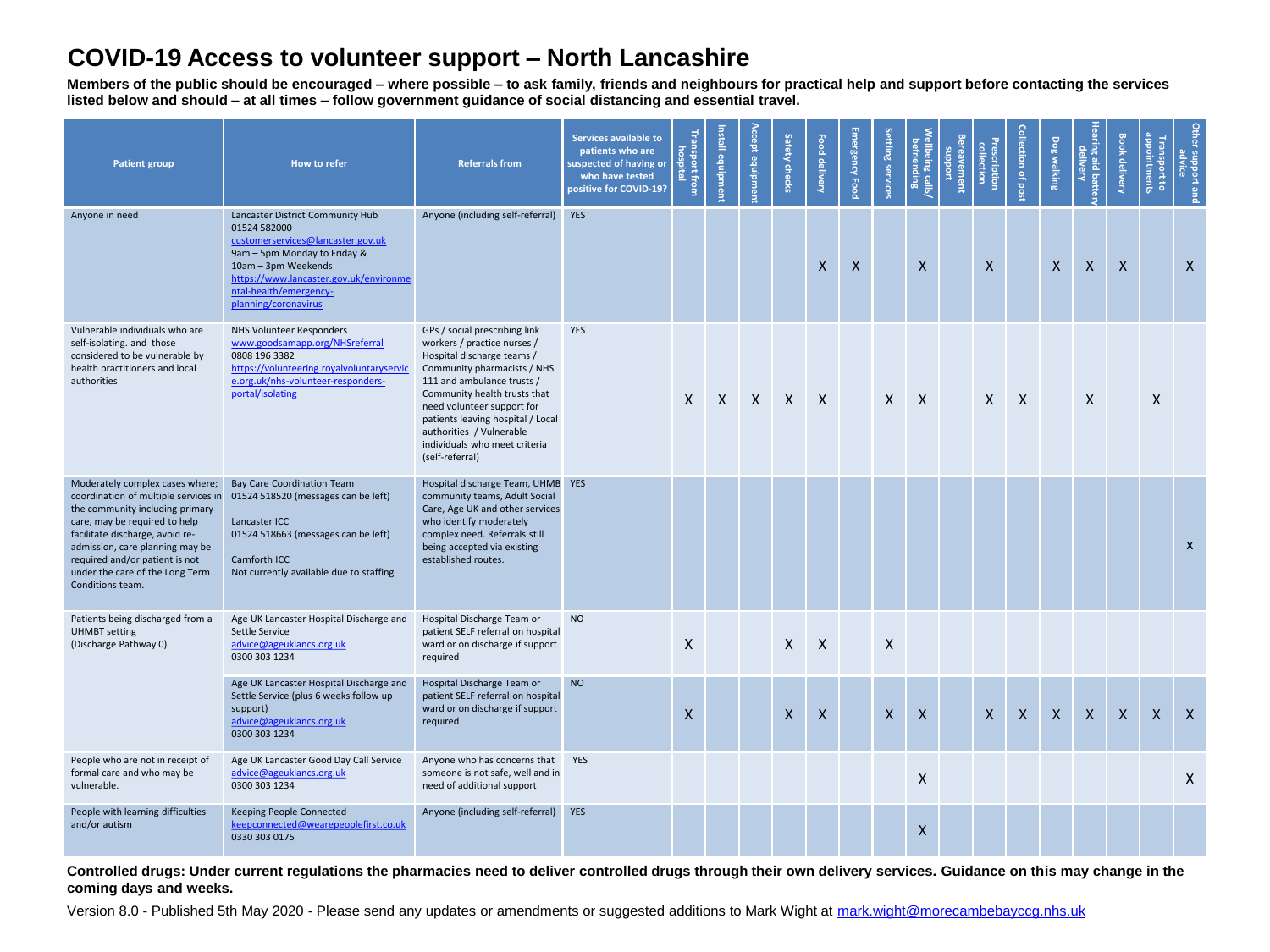## **COVID-19 Access to volunteer support – North Lancashire**

**Members of the public should be encouraged – where possible – to ask family, friends and neighbours for practical help and support before contacting the services listed below and should – at all times – follow government guidance of social distancing and essential travel.**

| <b>Patient group</b>                                                                                                                                                                                                                                                                                       | How to refer                                                                                                                                                                                                                             | <b>Referrals from</b>                                                                                                                                                                                                                                                                                                                      | Services available to<br>patients who are<br>suspected of having or<br>who have tested<br>positive for COVID-19? | Transport from<br>hospital | Install equipment | Accept equipmen | Safety checks    | Food delivery | Emergency Food | Settling services | Wellbeing calls/<br>befriending | <b>Bereavement</b><br>puoddins | <b>Prescription</b><br>collection | <b>Collection of post</b> | Dog walking  | Hearing aid battery<br>delivery | <b>Book delivery</b> | appointments<br>Transport to | <b>Other</b><br>r support and<br>advice |
|------------------------------------------------------------------------------------------------------------------------------------------------------------------------------------------------------------------------------------------------------------------------------------------------------------|------------------------------------------------------------------------------------------------------------------------------------------------------------------------------------------------------------------------------------------|--------------------------------------------------------------------------------------------------------------------------------------------------------------------------------------------------------------------------------------------------------------------------------------------------------------------------------------------|------------------------------------------------------------------------------------------------------------------|----------------------------|-------------------|-----------------|------------------|---------------|----------------|-------------------|---------------------------------|--------------------------------|-----------------------------------|---------------------------|--------------|---------------------------------|----------------------|------------------------------|-----------------------------------------|
| Anyone in need                                                                                                                                                                                                                                                                                             | Lancaster District Community Hub<br>01524 582000<br>customerservices@lancaster.gov.uk<br>9am - 5pm Monday to Friday &<br>10am - 3pm Weekends<br>https://www.lancaster.gov.uk/environme<br>ntal-health/emergency-<br>planning/coronavirus | Anyone (including self-referral) YES                                                                                                                                                                                                                                                                                                       |                                                                                                                  |                            |                   |                 |                  | $\mathsf{x}$  | $\mathsf{X}$   |                   | $\mathsf{X}$                    |                                | $\mathsf{x}$                      |                           | $\mathsf{X}$ | $\mathsf{X}$                    | $\mathsf{X}$         |                              | $\mathsf{x}$                            |
| Vulnerable individuals who are<br>self-isolating. and those<br>considered to be vulnerable by<br>health practitioners and local<br>authorities                                                                                                                                                             | NHS Volunteer Responders<br>www.goodsamapp.org/NHSreferral<br>0808 196 3382<br>https://volunteering.royalvoluntaryservic<br>e.org.uk/nhs-volunteer-responders-<br>portal/isolating                                                       | GPs / social prescribing link<br>workers / practice nurses /<br>Hospital discharge teams /<br>Community pharmacists / NHS<br>111 and ambulance trusts /<br>Community health trusts that<br>need volunteer support for<br>patients leaving hospital / Local<br>authorities / Vulnerable<br>individuals who meet criteria<br>(self-referral) | <b>YES</b>                                                                                                       | $\times$                   | $\mathsf{X}$      | X               | $\mathsf{X}$     | $\mathsf{X}$  |                | $\mathsf{X}$      | $\mathsf{X}$                    |                                | $\mathsf{X}$                      | $\mathsf{X}$              |              | $\mathsf{X}$                    |                      | X                            |                                         |
| Moderately complex cases where;<br>coordination of multiple services in<br>the community including primary<br>care, may be required to help<br>facilitate discharge, avoid re-<br>admission, care planning may be<br>required and/or patient is not<br>under the care of the Long Term<br>Conditions team. | <b>Bay Care Coordination Team</b><br>01524 518520 (messages can be left)<br>Lancaster ICC<br>01524 518663 (messages can be left)<br>Carnforth ICC<br>Not currently available due to staffing                                             | Hospital discharge Team, UHMB YES<br>community teams, Adult Social<br>Care, Age UK and other services<br>who identify moderately<br>complex need. Referrals still<br>being accepted via existing<br>established routes.                                                                                                                    |                                                                                                                  |                            |                   |                 |                  |               |                |                   |                                 |                                |                                   |                           |              |                                 |                      |                              | $\mathsf{x}$                            |
| Patients being discharged from a<br><b>UHMBT</b> setting<br>(Discharge Pathway 0)                                                                                                                                                                                                                          | Age UK Lancaster Hospital Discharge and<br>Settle Service<br>advice@ageuklancs.org.uk<br>0300 303 1234                                                                                                                                   | Hospital Discharge Team or<br>patient SELF referral on hospital<br>ward or on discharge if support<br>required                                                                                                                                                                                                                             | <b>NO</b>                                                                                                        | $\mathsf{X}$               |                   |                 | X                | $\mathsf{X}$  |                | X                 |                                 |                                |                                   |                           |              |                                 |                      |                              |                                         |
|                                                                                                                                                                                                                                                                                                            | Age UK Lancaster Hospital Discharge and<br>Settle Service (plus 6 weeks follow up<br>support)<br>advice@ageuklancs.org.uk<br>0300 303 1234                                                                                               | Hospital Discharge Team or<br>patient SELF referral on hospital<br>ward or on discharge if support<br>required                                                                                                                                                                                                                             | <b>NO</b>                                                                                                        | X                          |                   |                 | $\boldsymbol{X}$ | $\mathsf{X}$  |                | $\mathsf{x}$      | X                               |                                | $\mathsf{X}$                      | $\mathsf{X}$              | X            | X                               | $\mathsf{X}$         | X                            | $\mathsf{X}$                            |
| People who are not in receipt of<br>formal care and who may be<br>vulnerable.                                                                                                                                                                                                                              | Age UK Lancaster Good Day Call Service<br>advice@ageuklancs.org.uk<br>0300 303 1234                                                                                                                                                      | Anyone who has concerns that<br>someone is not safe, well and in<br>need of additional support                                                                                                                                                                                                                                             | <b>YES</b>                                                                                                       |                            |                   |                 |                  |               |                |                   | $\mathsf{X}$                    |                                |                                   |                           |              |                                 |                      |                              | $\mathsf{X}$                            |
| People with learning difficulties<br>and/or autism                                                                                                                                                                                                                                                         | Keeping People Connected<br>keepconnected@wearepeoplefirst.co.uk<br>0330 303 0175                                                                                                                                                        | Anyone (including self-referral) YES                                                                                                                                                                                                                                                                                                       |                                                                                                                  |                            |                   |                 |                  |               |                |                   | X                               |                                |                                   |                           |              |                                 |                      |                              |                                         |

**Controlled drugs: Under current regulations the pharmacies need to deliver controlled drugs through their own delivery services. Guidance on this may change in the coming days and weeks.** 

Version 8.0 - Published 5th May 2020 - Please send any updates or amendments or suggested additions to Mark Wight at [mark.wight@morecambebayccg.nhs.uk](mailto:mark.wight@morecambebayccg.nhs.uk)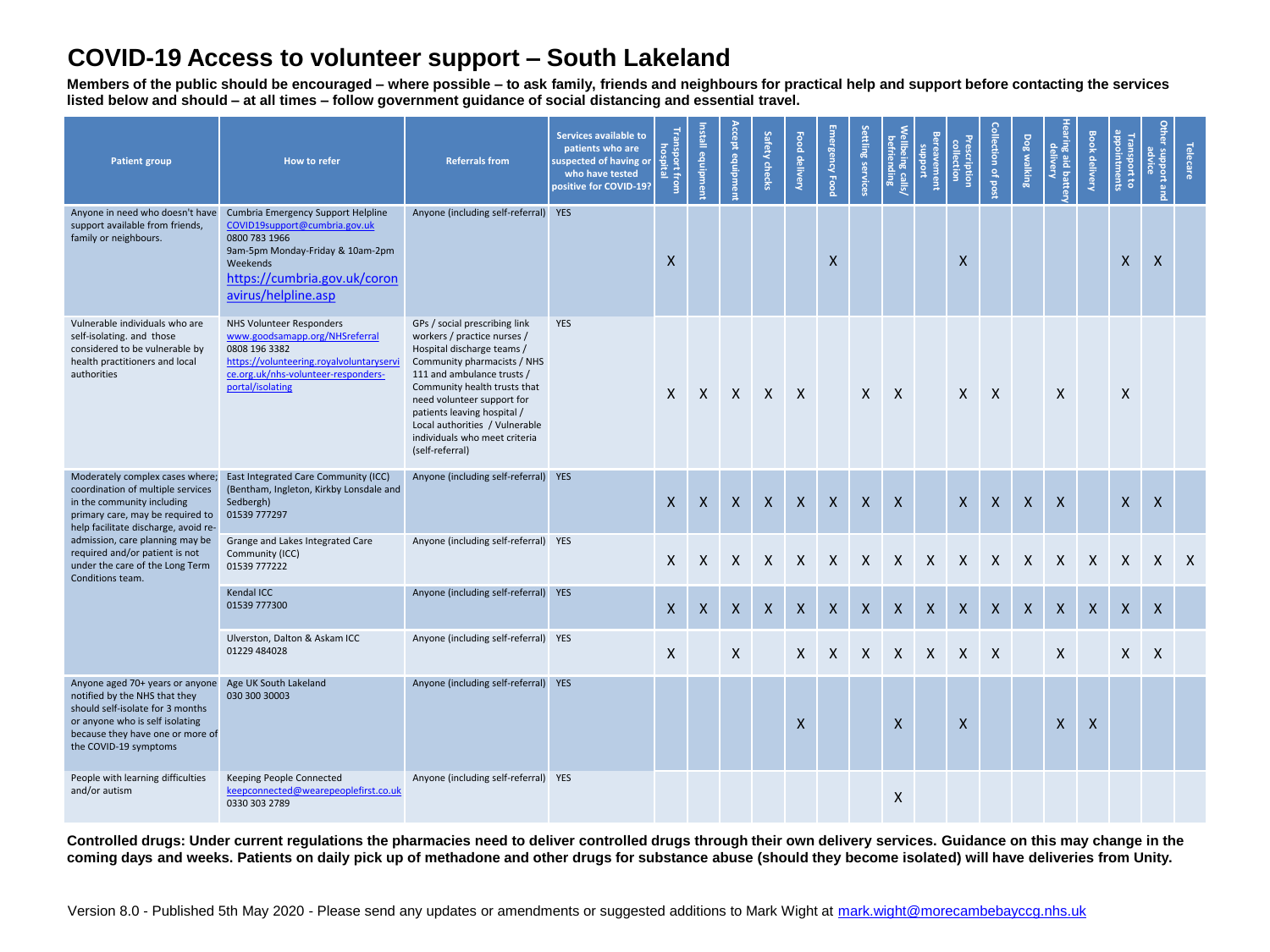## **COVID-19 Access to volunteer support – South Lakeland**

**Members of the public should be encouraged – where possible – to ask family, friends and neighbours for practical help and support before contacting the services listed below and should – at all times – follow government guidance of social distancing and essential travel.**

| Patient group                                                                                                                                                                                                                                                                                              | How to refer                                                                                                                                                                                | <b>Referrals from</b>                                                                                                                                                                                                                                                                                                                      | <b>Services available to</b><br>patients who are<br>suspected of having or<br>who have tested<br>positive for COVID-19? | Transport from<br>hospital | Install<br>ednipme | <b>Accept equipmen</b> | Safety checks       | Food delivery | Emergency Food | Settling services | Wellbeing calls/<br>befriending | <b>Bereavement</b><br><b>unddns</b> | <b>Prescription</b><br>collection | Collection of pos | Dog walking  | Hearing aid ba<br>Learing aid ba<br>aid batter | <b>Book delivery</b> | appointments<br>Trans<br>sport to | Other support and<br>advice | <b>Telecare</b> |
|------------------------------------------------------------------------------------------------------------------------------------------------------------------------------------------------------------------------------------------------------------------------------------------------------------|---------------------------------------------------------------------------------------------------------------------------------------------------------------------------------------------|--------------------------------------------------------------------------------------------------------------------------------------------------------------------------------------------------------------------------------------------------------------------------------------------------------------------------------------------|-------------------------------------------------------------------------------------------------------------------------|----------------------------|--------------------|------------------------|---------------------|---------------|----------------|-------------------|---------------------------------|-------------------------------------|-----------------------------------|-------------------|--------------|------------------------------------------------|----------------------|-----------------------------------|-----------------------------|-----------------|
| Anyone in need who doesn't have<br>support available from friends,<br>family or neighbours.                                                                                                                                                                                                                | Cumbria Emergency Support Helpline<br>COVID19support@cumbria.gov.uk<br>0800 783 1966<br>9am-5pm Monday-Friday & 10am-2pm<br>Weekends<br>https://cumbria.gov.uk/coron<br>avirus/helpline.asp | Anyone (including self-referral) YES                                                                                                                                                                                                                                                                                                       |                                                                                                                         | $\mathsf{x}$               |                    |                        |                     |               | X              |                   |                                 |                                     | $\mathsf{x}$                      |                   |              |                                                |                      | $\mathsf{x}$                      | X                           |                 |
| Vulnerable individuals who are<br>self-isolating, and those<br>considered to be vulnerable by<br>health practitioners and local<br>authorities                                                                                                                                                             | <b>NHS Volunteer Responders</b><br>www.goodsamapp.org/NHSreferral<br>0808 196 3382<br>https://volunteering.royalvoluntaryservi<br>ce.org.uk/nhs-volunteer-responders-<br>portal/isolating   | GPs / social prescribing link<br>workers / practice nurses /<br>Hospital discharge teams /<br>Community pharmacists / NHS<br>111 and ambulance trusts /<br>Community health trusts that<br>need volunteer support for<br>patients leaving hospital /<br>Local authorities / Vulnerable<br>individuals who meet criteria<br>(self-referral) | YES                                                                                                                     |                            |                    |                        | $X$ $X$ $X$ $X$ $X$ |               |                |                   | $X$ $X$                         |                                     | $\mathsf{X}$                      | $\mathsf{X}$      |              | $\mathsf{X}$                                   |                      | $\mathsf{X}$                      |                             |                 |
| Moderately complex cases where;<br>coordination of multiple services<br>in the community including<br>primary care, may be required to<br>help facilitate discharge, avoid re-<br>admission, care planning may be<br>required and/or patient is not<br>under the care of the Long Term<br>Conditions team. | East Integrated Care Community (ICC)<br>(Bentham, Ingleton, Kirkby Lonsdale and<br>Sedbergh)<br>01539 777297                                                                                | Anyone (including self-referral) YES                                                                                                                                                                                                                                                                                                       |                                                                                                                         | $\mathsf{X}$               | X                  | $\mathsf{X}$           | X                   | X             | X              | $\mathsf{x}$      | $\boldsymbol{X}$                |                                     | $\mathsf{X}$                      | X                 | $\mathsf{X}$ | $\mathsf{X}$                                   |                      | X                                 | $\mathsf{X}$                |                 |
|                                                                                                                                                                                                                                                                                                            | Grange and Lakes Integrated Care<br>Community (ICC)<br>01539 777222                                                                                                                         | Anyone (including self-referral) YES                                                                                                                                                                                                                                                                                                       |                                                                                                                         | $\mathsf{X}$               | $\mathsf{X}$       | $\mathsf{X}$           | X                   | $\mathsf{X}$  | $\mathsf{X}$   | $\mathsf{X}$      | $\mathsf{X}$                    | $\mathsf{X}$                        | $\mathsf{X}$                      | $\mathsf{X}$      | $\mathsf{X}$ | $\mathsf{X}$                                   | $\mathsf{X}$         | $\mathsf{X}$                      | $\mathsf{X}$                | $\mathsf{X}$    |
|                                                                                                                                                                                                                                                                                                            | Kendal ICC<br>01539 777300                                                                                                                                                                  | Anyone (including self-referral) YES                                                                                                                                                                                                                                                                                                       |                                                                                                                         | $\mathsf{x}$               | $\mathsf{X}$       | X                      | $\mathsf{x}$        | $\mathsf{x}$  | $\mathsf{x}$   | $\mathsf{x}$      | X                               | $\mathsf{X}$                        | $\mathsf{X}$                      | $\mathsf{X}$      | $\mathsf{X}$ | $\mathsf{X}$                                   | $\mathsf{x}$         | $\boldsymbol{\mathsf{X}}$         | $\mathsf{x}$                |                 |
|                                                                                                                                                                                                                                                                                                            | Ulverston, Dalton & Askam ICC<br>01229 484028                                                                                                                                               | Anyone (including self-referral) YES                                                                                                                                                                                                                                                                                                       |                                                                                                                         | X                          |                    | X                      |                     | $\mathsf{X}$  | $\mathsf{X}$   | $\mathsf{X}$      | $\mathsf{X}$                    | $\mathsf{X}$                        | $\mathsf{X}$                      | X                 |              | X                                              |                      | X                                 | $\mathsf{X}$                |                 |
| Anyone aged 70+ years or anyone<br>notified by the NHS that they<br>should self-isolate for 3 months<br>or anyone who is self isolating<br>because they have one or more of<br>the COVID-19 symptoms                                                                                                       | Age UK South Lakeland<br>030 300 30003                                                                                                                                                      | Anyone (including self-referral) YES                                                                                                                                                                                                                                                                                                       |                                                                                                                         |                            |                    |                        |                     | $\mathsf{x}$  |                |                   | $\mathsf{x}$                    |                                     | $\mathsf{X}$                      |                   |              | $\mathsf{X}$                                   | $\mathsf{X}$         |                                   |                             |                 |
| People with learning difficulties<br>and/or autism                                                                                                                                                                                                                                                         | Keeping People Connected<br>keepconnected@wearepeoplefirst.co.uk<br>0330 303 2789                                                                                                           | Anyone (including self-referral) YES                                                                                                                                                                                                                                                                                                       |                                                                                                                         |                            |                    |                        |                     |               |                |                   | X                               |                                     |                                   |                   |              |                                                |                      |                                   |                             |                 |

**Controlled drugs: Under current regulations the pharmacies need to deliver controlled drugs through their own delivery services. Guidance on this may change in the coming days and weeks. Patients on daily pick up of methadone and other drugs for substance abuse (should they become isolated) will have deliveries from Unity.**